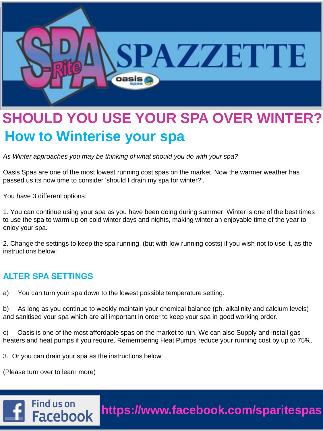

## **SHOULD YOU USE YOUR SPA OVER WINTER? How to Winterise your spa**

*As Winter approaches you may be thinking of what should you do with your spa?* 

Oasis Spas are one of the most lowest running cost spas on the market. Now the warmer weather has passed us its now time to consider 'should I drain my spa for winter?'.

You have 3 different options:

1. You can continue using your spa as you have been doing during summer. Winter is one of the best times to use the spa to warm up on cold winter days and nights, making winter an enjoyable time of the year to enjoy your spa.

2. Change the settings to keep the spa running, (but with low running costs) if you wish not to use it, as the instructions below:

## **ALTER SPA SETTINGS**

a) You can turn your spa down to the lowest possible temperature setting.

b) As long as you continue to weekly maintain your chemical balance (ph, alkalinity and calcium levels) and sanitised your spa which are all important in order to keep your spa in good working order.

c) Oasis is one of the most affordable spas on the market to run. We can also Supply and install gas heaters and heat pumps if you require. Remembering Heat Pumps reduce your running cost by up to 75%.

3. Or you can drain your spa as the instructions below:

(Please turn over to learn more)

Find us on

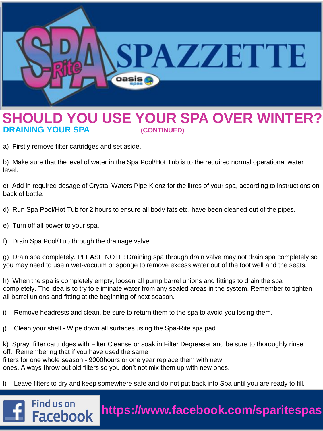

## **SHOULD YOU USE YOUR SPA OVER WINTER? DRAINING YOUR SPA (CONTINUED)**

a) Firstly remove filter cartridges and set aside.

b) Make sure that the level of water in the Spa Pool/Hot Tub is to the required normal operational water level.

c) Add in required dosage of Crystal Waters Pipe Klenz for the litres of your spa, according to instructions on back of bottle.

- d) Run Spa Pool/Hot Tub for 2 hours to ensure all body fats etc. have been cleaned out of the pipes.
- e) Turn off all power to your spa.
- f) Drain Spa Pool/Tub through the drainage valve.

g) Drain spa completely. PLEASE NOTE: Draining spa through drain valve may not drain spa completely so you may need to use a wet-vacuum or sponge to remove excess water out of the foot well and the seats.

h) When the spa is completely empty, loosen all pump barrel unions and fittings to drain the spa completely. The idea is to try to eliminate water from any sealed areas in the system. Remember to tighten all barrel unions and fitting at the beginning of next season.

- i) Remove headrests and clean, be sure to return them to the spa to avoid you losing them.
- j) Clean your shell Wipe down all surfaces using the Spa-Rite spa pad.

k) Spray filter cartridges with Filter Cleanse or soak in Filter Degreaser and be sure to thoroughly rinse off. Remembering that if you have used the same filters for one whole season - 9000hours or one year replace them with new ones. Always throw out old filters so you don't not mix them up with new ones.

l) Leave filters to dry and keep somewhere safe and do not put back into Spa until you are ready to fill.

**https://www.facebook.com/sparitespas**